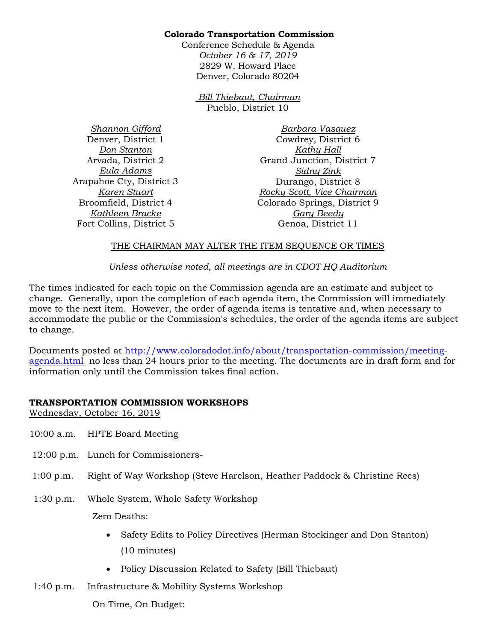#### **Colorado Transportation Commission**

Conference Schedule & Agenda *October 16 & 17, 2019*  2829 W. Howard Place Denver, Colorado 80204

> *Bill Thiebaut, Chairman* Pueblo, District 10

*Shannon Gifford* Denver, District 1 *Don Stanton* Arvada, District 2 *Eula Adams* Arapahoe Cty, District 3 *Karen Stuart* Broomfield, District 4 *Kathleen Bracke* Fort Collins, District 5

*Barbara Vasquez* Cowdrey, District 6 *Kathy Hall* Grand Junction, District 7 *Sidny Zink* Durango, District 8 *Rocky Scott, Vice Chairman* Colorado Springs, District 9 *Gary Beedy* Genoa, District 11

#### THE CHAIRMAN MAY ALTER THE ITEM SEQUENCE OR TIMES

*Unless otherwise noted, all meetings are in CDOT HQ Auditorium*

The times indicated for each topic on the Commission agenda are an estimate and subject to change. Generally, upon the completion of each agenda item, the Commission will immediately move to the next item. However, the order of agenda items is tentative and, when necessary to accommodate the public or the Commission's schedules, the order of the agenda items are subject to change.

Documents posted at [http://www.coloradodot.info/about/transportation-commission/meeting](http://www.coloradodot.info/about/transportation-commission/meeting-agenda.html)[agenda.html](http://www.coloradodot.info/about/transportation-commission/meeting-agenda.html) no less than 24 hours prior to the meeting. The documents are in draft form and for information only until the Commission takes final action.

## **TRANSPORTATION COMMISSION WORKSHOPS**

Wednesday, October 16, 2019

- 10:00 a.m. HPTE Board Meeting
- 12:00 p.m. Lunch for Commissioners-
- 1:00 p.m. Right of Way Workshop (Steve Harelson, Heather Paddock & Christine Rees)
- 1:30 p.m. Whole System, Whole Safety Workshop

Zero Deaths:

- Safety Edits to Policy Directives (Herman Stockinger and Don Stanton) (10 minutes)
- Policy Discussion Related to Safety (Bill Thiebaut)
- 1:40 p.m. Infrastructure & Mobility Systems Workshop

On Time, On Budget: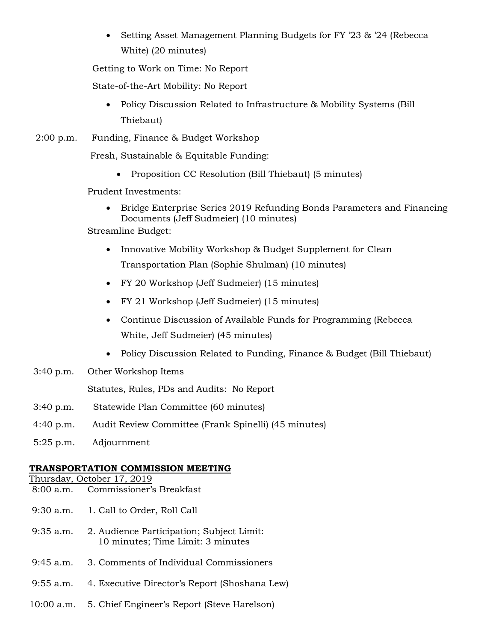• Setting Asset Management Planning Budgets for FY '23 & '24 (Rebecca White) (20 minutes)

Getting to Work on Time: No Report

State-of-the-Art Mobility: No Report

• Policy Discussion Related to Infrastructure & Mobility Systems (Bill) Thiebaut)

2:00 p.m. Funding, Finance & Budget Workshop

Fresh, Sustainable & Equitable Funding:

• Proposition CC Resolution (Bill Thiebaut) (5 minutes)

Prudent Investments:

• Bridge Enterprise Series 2019 Refunding Bonds Parameters and Financing Documents (Jeff Sudmeier) (10 minutes)

Streamline Budget:

- Innovative Mobility Workshop & Budget Supplement for Clean Transportation Plan (Sophie Shulman) (10 minutes)
- FY 20 Workshop (Jeff Sudmeier) (15 minutes)
- FY 21 Workshop (Jeff Sudmeier) (15 minutes)
- Continue Discussion of Available Funds for Programming (Rebecca White, Jeff Sudmeier) (45 minutes)
- Policy Discussion Related to Funding, Finance & Budget (Bill Thiebaut)
- 3:40 p.m. Other Workshop Items

Statutes, Rules, PDs and Audits: No Report

- 3:40 p.m. Statewide Plan Committee (60 minutes)
- 4:40 p.m. Audit Review Committee (Frank Spinelli) (45 minutes)
- 5:25 p.m. Adjournment

## **TRANSPORTATION COMMISSION MEETING**

Thursday, October 17, 2019

- 8:00 a.m. Commissioner's Breakfast
- 9:30 a.m. 1. Call to Order, Roll Call
- 9:35 a.m. 2. Audience Participation; Subject Limit: 10 minutes; Time Limit: 3 minutes
- 9:45 a.m. 3. Comments of Individual Commissioners
- 9:55 a.m. 4. Executive Director's Report (Shoshana Lew)
- 10:00 a.m. 5. Chief Engineer's Report (Steve Harelson)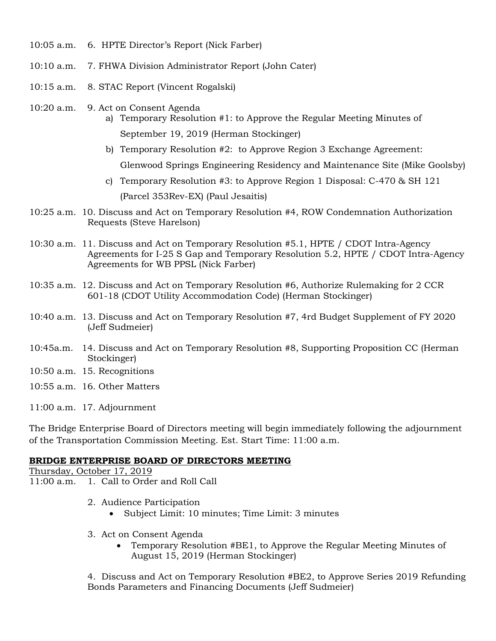- 10:05 a.m. 6. HPTE Director's Report (Nick Farber)
- 10:10 a.m. 7. FHWA Division Administrator Report (John Cater)
- 10:15 a.m. 8. STAC Report (Vincent Rogalski)
- 10:20 a.m. 9. Act on Consent Agenda
	- a) Temporary Resolution #1: to Approve the Regular Meeting Minutes of September 19, 2019 (Herman Stockinger)
	- b) Temporary Resolution #2: to Approve Region 3 Exchange Agreement: Glenwood Springs Engineering Residency and Maintenance Site (Mike Goolsby)
	- c) Temporary Resolution #3: to Approve Region 1 Disposal: C-470 & SH 121 (Parcel 353Rev-EX) (Paul Jesaitis)
- 10:25 a.m. 10. Discuss and Act on Temporary Resolution #4, ROW Condemnation Authorization Requests (Steve Harelson)
- 10:30 a.m. 11. Discuss and Act on Temporary Resolution #5.1, HPTE / CDOT Intra-Agency Agreements for I-25 S Gap and Temporary Resolution 5.2, HPTE / CDOT Intra-Agency Agreements for WB PPSL (Nick Farber)
- 10:35 a.m. 12. Discuss and Act on Temporary Resolution #6, Authorize Rulemaking for 2 CCR 601-18 (CDOT Utility Accommodation Code) (Herman Stockinger)
- 10:40 a.m. 13. Discuss and Act on Temporary Resolution #7, 4rd Budget Supplement of FY 2020 (Jeff Sudmeier)
- 10:45a.m. 14. Discuss and Act on Temporary Resolution #8, Supporting Proposition CC (Herman Stockinger)
- 10:50 a.m. 15. Recognitions
- 10:55 a.m. 16. Other Matters

11:00 a.m. 17. Adjournment

The Bridge Enterprise Board of Directors meeting will begin immediately following the adjournment of the Transportation Commission Meeting. Est. Start Time: 11:00 a.m.

## **BRIDGE ENTERPRISE BOARD OF DIRECTORS MEETING**

Thursday, October 17, 2019 11:00 a.m. 1. Call to Order and Roll Call

- 2. Audience Participation
	- Subject Limit: 10 minutes; Time Limit: 3 minutes
- 3. Act on Consent Agenda
	- Temporary Resolution #BE1, to Approve the Regular Meeting Minutes of August 15, 2019 (Herman Stockinger)

4. Discuss and Act on Temporary Resolution #BE2, to Approve Series 2019 Refunding Bonds Parameters and Financing Documents (Jeff Sudmeier)